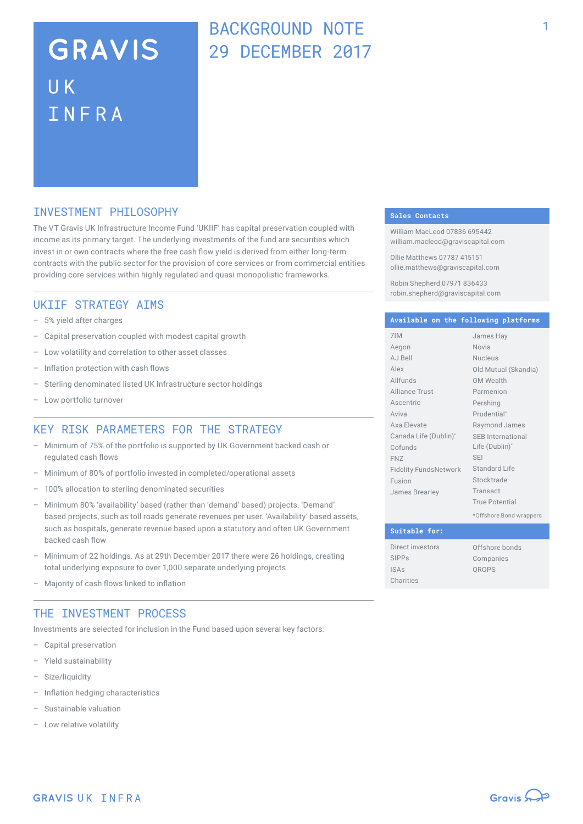### BACKGROUND NOTE 29 DECEMBER 2017

### INVESTMENT PHILOSOPHY

The VT Gravis UK Infrastructure Income Fund 'UKIIF' has capital preservation coupled with income as its primary target. The underlying investments of the fund are securities which invest in or own contracts where the free cash flow yield is derived from either long-term contracts with the public sector for the provision of core services or from commercial entities providing core services within highly regulated and quasi monopolistic frameworks.

#### UKIIF STRATEGY AIMS

- 5% yield after charges
- Capital preservation coupled with modest capital growth
- Low volatility and correlation to other asset classes
- Inflation protection with cash flows
- Sterling denominated listed UK Infrastructure sector holdings
- Low portfolio turnover

#### KEY RISK PARAMETERS FOR THE STRATEGY

- Minimum of 75% of the portfolio is supported by UK Government backed cash or regulated cash flows
- Minimum of 80% of portfolio invested in completed/operational assets
- 100% allocation to sterling denominated securities
- Minimum 80% 'availability' based (rather than 'demand' based) projects. 'Demand' based projects, such as toll roads generate revenues per user. 'Availability' based assets, such as hospitals, generate revenue based upon a statutory and often UK Government backed cash flow
- Minimum of 22 holdings. As at 29th December 2017 there were 26 holdings, creating total underlying exposure to over 1,000 separate underlying projects
- Majority of cash flows linked to inflation

#### THE INVESTMENT PROCESS

Investments are selected for inclusion in the Fund based upon several key factors:

- Capital preservation
- Yield sustainability
- Size/liquidity
- Inflation hedging characteristics
- Sustainable valuation
- Low relative volatility

#### **Sales Contacts**

William MacLeod 07836 695442 william.macleod@graviscapital.com

Ollie Matthews 07787 415151 ollie.matthews@graviscapital.com

Robin Shepherd 07971 836433 robin.shepherd@graviscapital.com

#### **Available on the following platforms**

| 7IM                          | James Hay                |
|------------------------------|--------------------------|
| Aegon                        | Novia                    |
| AJ Bell                      | <b>Nucleus</b>           |
| Alex                         | Old Mutual (Skandia)     |
| Allfunds                     | OM Wealth                |
| <b>Alliance Trust</b>        | Parmenion                |
| Ascentric                    | Pershing                 |
| Aviva                        | Prudential*              |
| Axa Elevate                  | Raymond James            |
| Canada Life (Dublin)*        | <b>SEB</b> International |
| Cofunds                      | Life (Dublin)*           |
| <b>FNZ</b>                   | <b>SEI</b>               |
| <b>Fidelity FundsNetwork</b> | Standard Life            |
| Fusion                       | Stocktrade               |
| James Brearley               | Transact                 |
|                              | True Potential           |
|                              |                          |

\*Offshore Bond wrappers

| Suitable for:    |                |
|------------------|----------------|
| Direct investors | Offshore bonds |
| <b>SIPPs</b>     | Companies      |
| <b>ISAs</b>      | OROPS          |
| Charities        |                |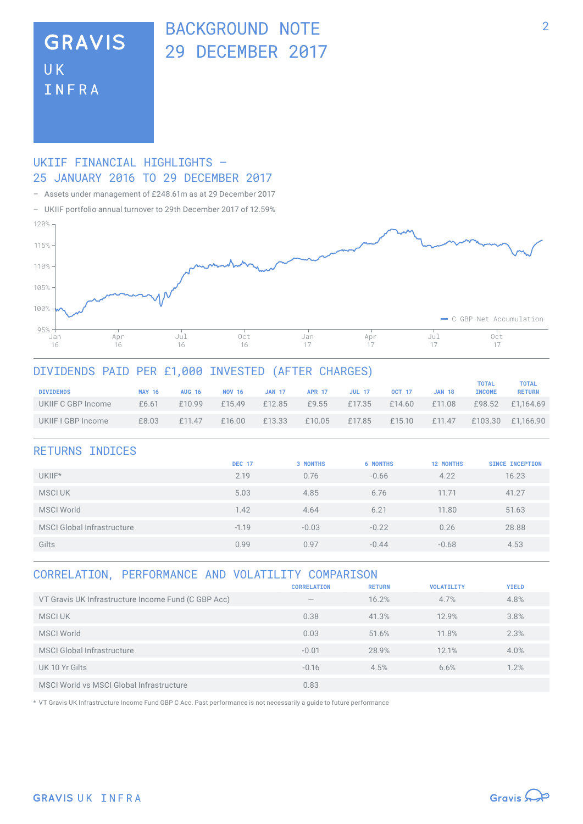### BACKGROUND NOTE 29 DECEMBER 2017

### **GRAVIS UK** INFRA

### UKIIF FINANCIAL HIGHLIGHTS – 25 JANUARY 2016 TO 29 DECEMBER 2017

– Assets under management of £248.61m as at 29 December 2017

– UKIIF portfolio annual turnover to 29th December 2017 of 12.59%



### DIVIDENDS PAID PER £1,000 INVESTED (AFTER CHARGES)

| <b>DIVIDENDS</b>   | <b>MAY 16</b> | <b>AUG 16</b> | <b>NOV 16</b> | <b>JAN 17</b> | <b>APR 17</b> | <b>JUL 17</b> | <b>OCT 17</b> | <b>JAN 18</b> | TOTAL<br><b>INCOME</b> | <b>TOTAL</b><br><b>RETURN</b> |
|--------------------|---------------|---------------|---------------|---------------|---------------|---------------|---------------|---------------|------------------------|-------------------------------|
| UKIIF C GBP Income | £6.61         | £10.99        | f15.49        | £12.85        | £9.55         | £17.35        | £14.60        | £11.08        | £98.52                 | £1.164.69                     |
| UKIIF I GBP Income | £8.03         | f11.47        | £16.00        | £13.33        | £10.05        | £17.85        | £15.10        | £11.47        | £103.30                | £1.166.90                     |

| <b>DEC 17</b> | <b>3 MONTHS</b> | <b>6 MONTHS</b> | <b>12 MONTHS</b> | <b>SINCE INCEPTION</b> |
|---------------|-----------------|-----------------|------------------|------------------------|
| 2.19          | 0.76            | $-0.66$         | 4.22             | 16.23                  |
| 5.03          | 4.85            | 6.76            | 11.71            | 41.27                  |
| 1.42          | 4.64            | 6.21            | 11.80            | 51.63                  |
| $-1.19$       | $-0.03$         | $-0.22$         | 0.26             | 28.88                  |
| 0.99          | 0.97            | $-0.44$         | $-0.68$          | 4.53                   |
|               |                 |                 |                  |                        |

#### CORRELATION, PERFORMANCE AND VOLATILITY COMPARISON

|                                                     | <b>CORRELATION</b>              | <b>RETURN</b> | <b>VOLATILITY</b> | <b>YIELD</b> |
|-----------------------------------------------------|---------------------------------|---------------|-------------------|--------------|
| VT Gravis UK Infrastructure Income Fund (C GBP Acc) | $\hspace{0.1mm}-\hspace{0.1mm}$ | 16.2%         | 4.7%              | 4.8%         |
| <b>MSCIUK</b>                                       | 0.38                            | 41.3%         | 12.9%             | 3.8%         |
| <b>MSCI World</b>                                   | 0.03                            | 51.6%         | 11.8%             | 2.3%         |
| <b>MSCI Global Infrastructure</b>                   | $-0.01$                         | 28.9%         | 12.1%             | 4.0%         |
| UK 10 Yr Gilts                                      | $-0.16$                         | 4.5%          | 6.6%              | 1.2%         |
| MSCI World vs MSCI Global Infrastructure            | 0.83                            |               |                   |              |

\* VT Gravis UK Infrastructure Income Fund GBP C Acc. Past performance is not necessarily a guide to future performance

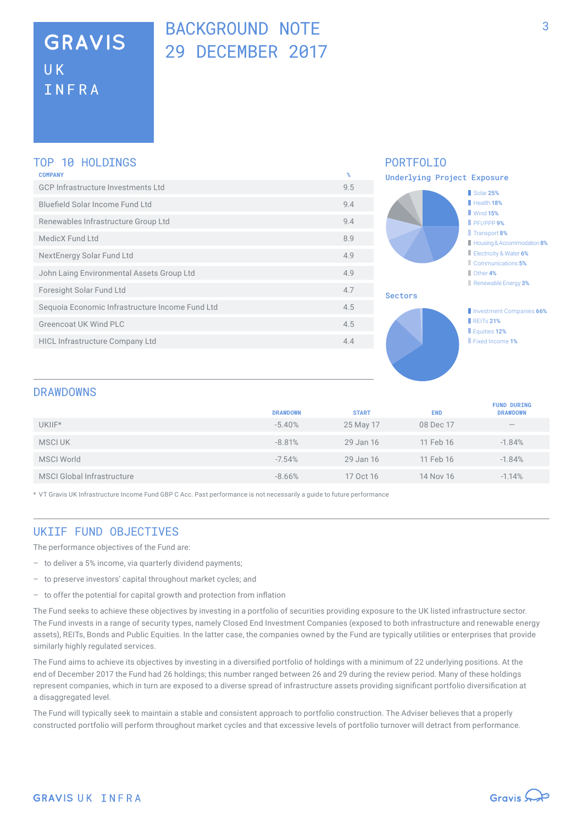# BACKGROUND NOTE 29 DECEMBER 2017

#### TOP 10 HOLDINGS

| <b>COMPANY</b>                                  | %   |
|-------------------------------------------------|-----|
| GCP Infrastructure Investments Ltd              | 9.5 |
| Bluefield Solar Income Fund Ltd                 | 9.4 |
| Renewables Infrastructure Group Ltd             | 9.4 |
| MedicX Fund Ltd                                 | 8.9 |
| NextEnergy Solar Fund Ltd                       | 4.9 |
| John Laing Environmental Assets Group Ltd       | 4.9 |
| Foresight Solar Fund Ltd                        | 4.7 |
| Sequoia Economic Infrastructure Income Fund Ltd | 4.5 |
| Greencoat UK Wind PLC                           | 4.5 |
| <b>HICL Infrastructure Company Ltd</b>          | 4.4 |
|                                                 |     |



#### DRAWDOWNS

|                                   | <b>DRAWDOWN</b> | <b>START</b> | <b>END</b> | <b>FUND DURING</b><br><b>DRAWDOWN</b> |
|-----------------------------------|-----------------|--------------|------------|---------------------------------------|
| UKIIF*                            | $-5.40%$        | 25 May 17    | 08 Dec 17  | $\hspace{0.1mm}-\hspace{0.1mm}$       |
| <b>MSCIUK</b>                     | $-8.81%$        | 29 Jan 16    | 11 Feb 16  | $-1.84%$                              |
| <b>MSCI World</b>                 | $-7.54%$        | 29 Jan 16    | 11 Feb 16  | $-1.84%$                              |
| <b>MSCI Global Infrastructure</b> | $-8.66%$        | 17 Oct 16    | 14 Nov 16  | $-1.14%$                              |

\* VT Gravis UK Infrastructure Income Fund GBP C Acc. Past performance is not necessarily a guide to future performance

### UKTTE FUND OBJECTTVES

The performance objectives of the Fund are:

- to deliver a 5% income, via quarterly dividend payments;
- to preserve investors' capital throughout market cycles; and
- to offer the potential for capital growth and protection from inflation

The Fund seeks to achieve these objectives by investing in a portfolio of securities providing exposure to the UK listed infrastructure sector. The Fund invests in a range of security types, namely Closed End Investment Companies (exposed to both infrastructure and renewable energy assets), REITs, Bonds and Public Equities. In the latter case, the companies owned by the Fund are typically utilities or enterprises that provide similarly highly regulated services.

The Fund aims to achieve its objectives by investing in a diversified portfolio of holdings with a minimum of 22 underlying positions. At the end of December 2017 the Fund had 26 holdings; this number ranged between 26 and 29 during the review period. Many of these holdings represent companies, which in turn are exposed to a diverse spread of infrastructure assets providing significant portfolio diversification at a disaggregated level.

The Fund will typically seek to maintain a stable and consistent approach to portfolio construction. The Adviser believes that a properly constructed portfolio will perform throughout market cycles and that excessive levels of portfolio turnover will detract from performance.

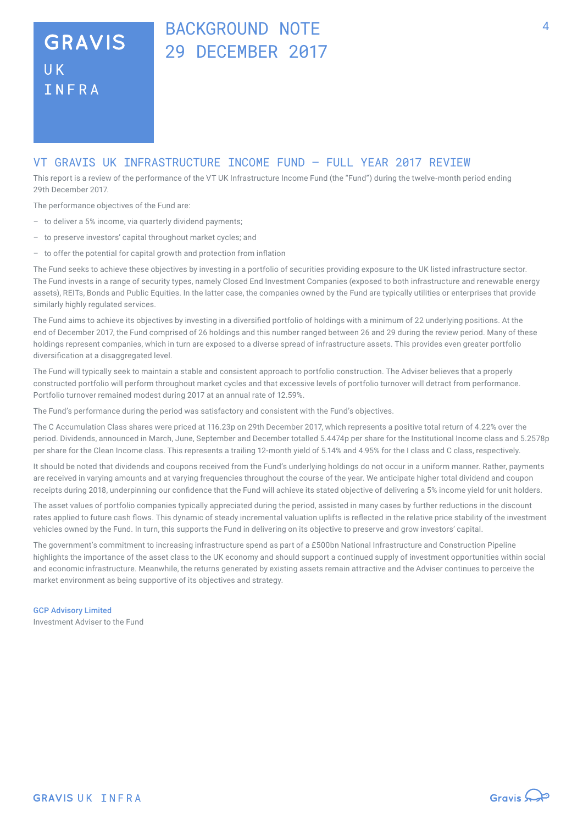# BACKGROUND NOTE 29 DECEMBER 2017

#### VT GRAVIS UK INFRASTRUCTURE INCOME FUND – FULL YEAR 2017 REVIEW

This report is a review of the performance of the VT UK Infrastructure Income Fund (the "Fund") during the twelve-month period ending 29th December 2017.

The performance objectives of the Fund are:

- to deliver a 5% income, via quarterly dividend payments;
- to preserve investors' capital throughout market cycles; and
- to offer the potential for capital growth and protection from inflation

The Fund seeks to achieve these objectives by investing in a portfolio of securities providing exposure to the UK listed infrastructure sector. The Fund invests in a range of security types, namely Closed End Investment Companies (exposed to both infrastructure and renewable energy assets), REITs, Bonds and Public Equities. In the latter case, the companies owned by the Fund are typically utilities or enterprises that provide similarly highly regulated services.

The Fund aims to achieve its objectives by investing in a diversified portfolio of holdings with a minimum of 22 underlying positions. At the end of December 2017, the Fund comprised of 26 holdings and this number ranged between 26 and 29 during the review period. Many of these holdings represent companies, which in turn are exposed to a diverse spread of infrastructure assets. This provides even greater portfolio diversification at a disaggregated level.

The Fund will typically seek to maintain a stable and consistent approach to portfolio construction. The Adviser believes that a properly constructed portfolio will perform throughout market cycles and that excessive levels of portfolio turnover will detract from performance. Portfolio turnover remained modest during 2017 at an annual rate of 12.59%.

The Fund's performance during the period was satisfactory and consistent with the Fund's objectives.

The C Accumulation Class shares were priced at 116.23p on 29th December 2017, which represents a positive total return of 4.22% over the period. Dividends, announced in March, June, September and December totalled 5.4474p per share for the Institutional Income class and 5.2578p per share for the Clean Income class. This represents a trailing 12-month yield of 5.14% and 4.95% for the I class and C class, respectively.

It should be noted that dividends and coupons received from the Fund's underlying holdings do not occur in a uniform manner. Rather, payments are received in varying amounts and at varying frequencies throughout the course of the year. We anticipate higher total dividend and coupon receipts during 2018, underpinning our confidence that the Fund will achieve its stated objective of delivering a 5% income yield for unit holders.

The asset values of portfolio companies typically appreciated during the period, assisted in many cases by further reductions in the discount rates applied to future cash flows. This dynamic of steady incremental valuation uplifts is reflected in the relative price stability of the investment vehicles owned by the Fund. In turn, this supports the Fund in delivering on its objective to preserve and grow investors' capital.

The government's commitment to increasing infrastructure spend as part of a £500bn National Infrastructure and Construction Pipeline highlights the importance of the asset class to the UK economy and should support a continued supply of investment opportunities within social and economic infrastructure. Meanwhile, the returns generated by existing assets remain attractive and the Adviser continues to perceive the market environment as being supportive of its objectives and strategy.

GCP Advisory Limited Investment Adviser to the Fund

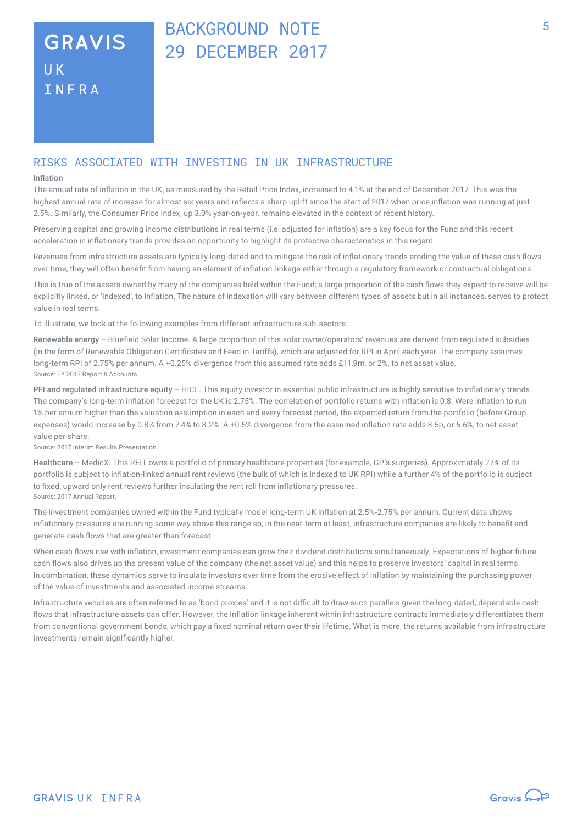### BACKGROUND NOTE 29 DECEMBER 2017

### RISKS ASSOCIATED WITH INVESTING IN UK INFRASTRUCTURE

#### Inflation

The annual rate of inflation in the UK, as measured by the Retail Price Index, increased to 4.1% at the end of December 2017. This was the highest annual rate of increase for almost six years and reflects a sharp uplift since the start of 2017 when price inflation was running at just 2.5%. Similarly, the Consumer Price Index, up 3.0% year-on-year, remains elevated in the context of recent history.

Preserving capital and growing income distributions in real terms (i.e. adjusted for inflation) are a key focus for the Fund and this recent acceleration in inflationary trends provides an opportunity to highlight its protective characteristics in this regard.

Revenues from infrastructure assets are typically long-dated and to mitigate the risk of inflationary trends eroding the value of these cash flows over time, they will often benefit from having an element of inflation-linkage either through a regulatory framework or contractual obligations.

This is true of the assets owned by many of the companies held within the Fund; a large proportion of the cash flows they expect to receive will be explicitly linked, or 'indexed', to inflation. The nature of indexation will vary between different types of assets but in all instances, serves to protect value in real terms.

To illustrate, we look at the following examples from different infrastructure sub-sectors:

Renewable energy – Bluefield Solar Income. A large proportion of this solar owner/operators' revenues are derived from regulated subsidies (in the form of Renewable Obligation Certificates and Feed in Tariffs), which are adjusted for RPI in April each year. The company assumes long-term RPI of 2.75% per annum. A +0.25% divergence from this assumed rate adds £11.9m, or 2%, to net asset value. Source: FY 2017 Report & Accounts.

PFI and regulated infrastructure equity - HICL. This equity investor in essential public infrastructure is highly sensitive to inflationary trends. The company's long-term inflation forecast for the UK is 2.75%. The correlation of portfolio returns with inflation is 0.8. Were inflation to run 1% per annum higher than the valuation assumption in each and every forecast period, the expected return from the portfolio (before Group expenses) would increase by 0.8% from 7.4% to 8.2%. A +0.5% divergence from the assumed inflation rate adds 8.5p, or 5.6%, to net asset value per share.

Source: 2017 Interim Results Presentation.

Healthcare – MedicX. This REIT owns a portfolio of primary healthcare properties (for example, GP's surgeries). Approximately 27% of its portfolio is subject to inflation-linked annual rent reviews (the bulk of which is indexed to UK RPI) while a further 4% of the portfolio is subject to fixed, upward only rent reviews further insulating the rent roll from inflationary pressures. Source: 2017 Annual Report.

The investment companies owned within the Fund typically model long-term UK inflation at 2.5%-2.75% per annum. Current data shows inflationary pressures are running some way above this range so, in the near-term at least, infrastructure companies are likely to benefit and generate cash flows that are greater than forecast.

When cash flows rise with inflation, investment companies can grow their dividend distributions simultaneously. Expectations of higher future cash flows also drives up the present value of the company (the net asset value) and this helps to preserve investors' capital in real terms. In combination, these dynamics serve to insulate investors over time from the erosive effect of inflation by maintaining the purchasing power of the value of investments and associated income streams.

Infrastructure vehicles are often referred to as 'bond proxies' and it is not difficult to draw such parallels given the long-dated, dependable cash flows that infrastructure assets can offer. However, the inflation linkage inherent within infrastructure contracts immediately differentiates them from conventional government bonds, which pay a fixed nominal return over their lifetime. What is more, the returns available from infrastructure investments remain significantly higher.

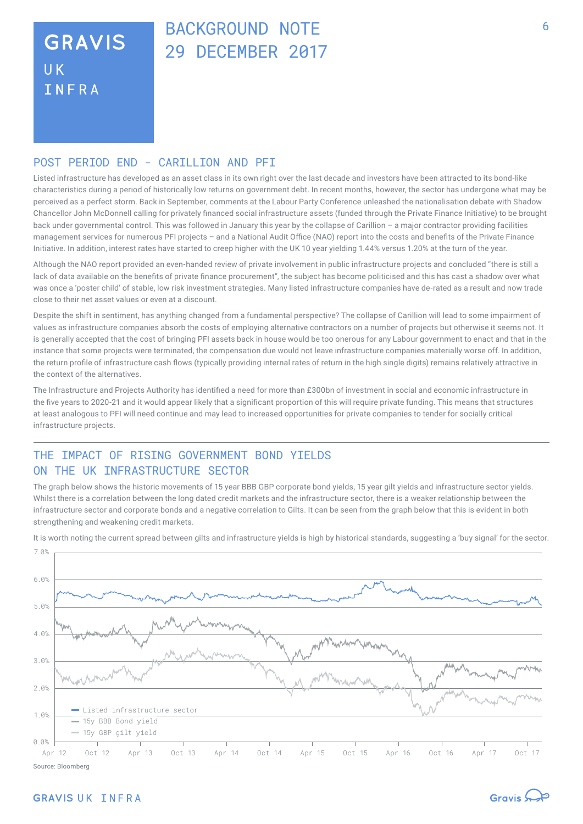# BACKGROUND NOTE 29 DECEMBER 2017

### POST PERTOD END - CARTLLTON AND PET

Listed infrastructure has developed as an asset class in its own right over the last decade and investors have been attracted to its bond-like characteristics during a period of historically low returns on government debt. In recent months, however, the sector has undergone what may be perceived as a perfect storm. Back in September, comments at the Labour Party Conference unleashed the nationalisation debate with Shadow Chancellor John McDonnell calling for privately financed social infrastructure assets (funded through the Private Finance Initiative) to be brought back under governmental control. This was followed in January this year by the collapse of Carillion – a major contractor providing facilities management services for numerous PFI projects – and a National Audit Office (NAO) report into the costs and benefits of the Private Finance Initiative. In addition, interest rates have started to creep higher with the UK 10 year yielding 1.44% versus 1.20% at the turn of the year.

Although the NAO report provided an even-handed review of private involvement in public infrastructure projects and concluded "there is still a lack of data available on the benefits of private finance procurement", the subject has become politicised and this has cast a shadow over what was once a 'poster child' of stable, low risk investment strategies. Many listed infrastructure companies have de-rated as a result and now trade close to their net asset values or even at a discount.

Despite the shift in sentiment, has anything changed from a fundamental perspective? The collapse of Carillion will lead to some impairment of values as infrastructure companies absorb the costs of employing alternative contractors on a number of projects but otherwise it seems not. It is generally accepted that the cost of bringing PFI assets back in house would be too onerous for any Labour government to enact and that in the instance that some projects were terminated, the compensation due would not leave infrastructure companies materially worse off. In addition, the return profile of infrastructure cash flows (typically providing internal rates of return in the high single digits) remains relatively attractive in the context of the alternatives.

The Infrastructure and Projects Authority has identified a need for more than £300bn of investment in social and economic infrastructure in the five years to 2020-21 and it would appear likely that a significant proportion of this will require private funding. This means that structures at least analogous to PFI will need continue and may lead to increased opportunities for private companies to tender for socially critical infrastructure projects.

### THE IMPACT OF RISING GOVERNMENT BOND YIELDS ON THE UK INFRASTRUCTURE SECTOR

The graph below shows the historic movements of 15 year BBB GBP corporate bond yields, 15 year gilt yields and infrastructure sector yields. Whilst there is a correlation between the long dated credit markets and the infrastructure sector, there is a weaker relationship between the infrastructure sector and corporate bonds and a negative correlation to Gilts. It can be seen from the graph below that this is evident in both strengthening and weakening credit markets.



It is worth noting the current spread between gilts and infrastructure yields is high by historical standards, suggesting a 'buy signal' for the sector.

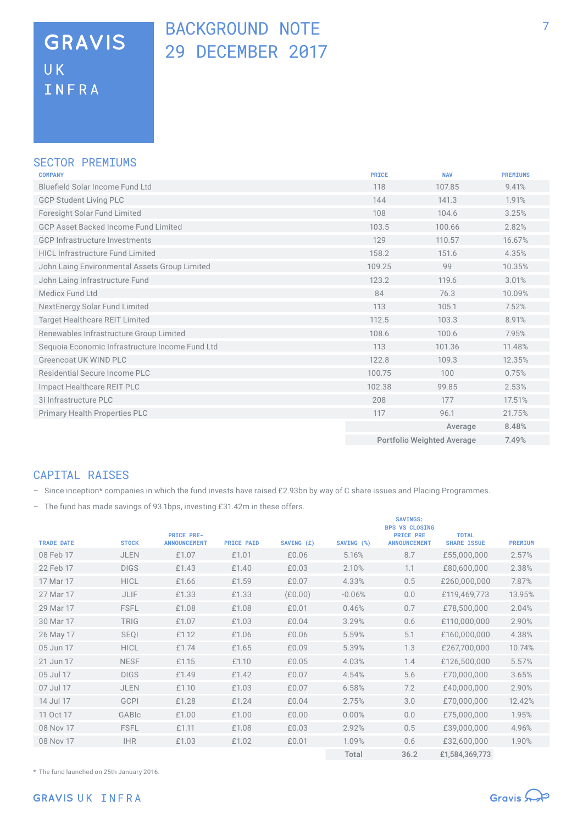### BACKGROUND NOTE 29 DECEMBER 2017

#### SECTOR PREMIUMS

| <b>COMPANY</b>                                  | <b>PRICE</b> | <b>NAV</b>                        | <b>PREMIUMS</b> |
|-------------------------------------------------|--------------|-----------------------------------|-----------------|
| Bluefield Solar Income Fund Ltd                 | 118          | 107.85                            | 9.41%           |
| <b>GCP Student Living PLC</b>                   | 144          | 141.3                             | 1.91%           |
| <b>Foresight Solar Fund Limited</b>             | 108          | 104.6                             | 3.25%           |
| <b>GCP Asset Backed Income Fund Limited</b>     | 103.5        | 100.66                            | 2.82%           |
| <b>GCP Infrastructure Investments</b>           | 129          | 110.57                            | 16.67%          |
| <b>HICL Infrastructure Fund Limited</b>         | 158.2        | 151.6                             | 4.35%           |
| John Laing Environmental Assets Group Limited   | 109.25       | 99                                | 10.35%          |
| John Laing Infrastructure Fund                  | 123.2        | 119.6                             | 3.01%           |
| Medicx Fund Ltd                                 | 84           | 76.3                              | 10.09%          |
| NextEnergy Solar Fund Limited                   | 113          | 105.1                             | 7.52%           |
| <b>Target Healthcare REIT Limited</b>           | 112.5        | 103.3                             | 8.91%           |
| Renewables Infrastructure Group Limited         | 108.6        | 100.6                             | 7.95%           |
| Sequoia Economic Infrastructure Income Fund Ltd | 113          | 101.36                            | 11.48%          |
| Greencoat UK WIND PLC                           | 122.8        | 109.3                             | 12.35%          |
| Residential Secure Income PLC                   | 100.75       | 100                               | 0.75%           |
| Impact Healthcare REIT PLC                      | 102.38       | 99.85                             | 2.53%           |
| 31 Infrastructure PLC                           | 208          | 177                               | 17.51%          |
| <b>Primary Health Properties PLC</b>            | 117          | 96.1                              | 21.75%          |
|                                                 |              | Average                           | 8.48%           |
|                                                 |              | <b>Portfolio Weighted Average</b> | 7.49%           |

### CAPITAL RAISES

– Since inception\* companies in which the fund invests have raised £2.93bn by way of C share issues and Placing Programmes.

– The fund has made savings of 93.1bps, investing £31.42m in these offers.

| <b>TRADE DATE</b> | <b>STOCK</b> | <b>PRICE PRE-</b><br><b>ANNOUNCEMENT</b> | <b>PRICE PAID</b> | SAVING (£) | SAVING (%) | <b>SAVINGS:</b><br><b>BPS VS CLOSING</b><br><b>PRICE PRE</b><br><b>ANNOUNCEMENT</b> | <b>TOTAL</b><br><b>SHARE ISSUE</b> | <b>PREMIUM</b> |
|-------------------|--------------|------------------------------------------|-------------------|------------|------------|-------------------------------------------------------------------------------------|------------------------------------|----------------|
| 08 Feb 17         | <b>JLEN</b>  | £1.07                                    | £1.01             | £0.06      | 5.16%      | 8.7                                                                                 | £55,000,000                        | 2.57%          |
| 22 Feb 17         | <b>DIGS</b>  | £1.43                                    | £1.40             | £0.03      | 2.10%      | 1.1                                                                                 | £80,600,000                        | 2.38%          |
| 17 Mar 17         | <b>HICL</b>  | £1.66                                    | £1.59             | £0.07      | 4.33%      | 0.5                                                                                 | £260,000,000                       | 7.87%          |
| 27 Mar 17         | <b>JLIF</b>  | £1.33                                    | £1.33             | (E0.00)    | $-0.06%$   | 0.0                                                                                 | £119,469,773                       | 13.95%         |
| 29 Mar 17         | <b>FSFL</b>  | £1.08                                    | £1.08             | £0.01      | 0.46%      | 0.7                                                                                 | £78,500,000                        | 2.04%          |
| 30 Mar 17         | <b>TRIG</b>  | £1.07                                    | £1.03             | £0.04      | 3.29%      | 0.6                                                                                 | £110,000,000                       | 2.90%          |
| 26 May 17         | <b>SEQI</b>  | £1.12                                    | £1.06             | £0.06      | 5.59%      | 5.1                                                                                 | £160,000,000                       | 4.38%          |
| 05 Jun 17         | <b>HICL</b>  | £1.74                                    | £1.65             | £0.09      | 5.39%      | 1.3                                                                                 | £267,700,000                       | 10.74%         |
| 21 Jun 17         | <b>NESF</b>  | £1.15                                    | £1.10             | £0.05      | 4.03%      | 1.4                                                                                 | £126,500,000                       | 5.57%          |
| 05 Jul 17         | <b>DIGS</b>  | £1.49                                    | £1.42             | £0.07      | 4.54%      | 5.6                                                                                 | £70,000,000                        | 3.65%          |
| 07 Jul 17         | <b>JLEN</b>  | £1.10                                    | £1.03             | £0.07      | 6.58%      | 7.2                                                                                 | £40,000,000                        | 2.90%          |
| 14 Jul 17         | <b>GCPI</b>  | £1.28                                    | £1.24             | £0.04      | 2.75%      | 3.0                                                                                 | £70,000,000                        | 12.42%         |
| 11 Oct 17         | GABIc        | £1.00                                    | £1.00             | £0.00      | 0.00%      | 0.0                                                                                 | £75,000,000                        | 1.95%          |
| 08 Nov 17         | <b>FSFL</b>  | £1.11                                    | £1.08             | £0.03      | 2.92%      | 0.5                                                                                 | £39,000,000                        | 4.96%          |
| 08 Nov 17         | <b>IHR</b>   | £1.03                                    | £1.02             | £0.01      | 1.09%      | 0.6                                                                                 | £32,600,000                        | 1.90%          |
|                   |              |                                          |                   |            | Total      | 36.2                                                                                | £1,584,369,773                     |                |

\* The fund launched on 25th January 2016.